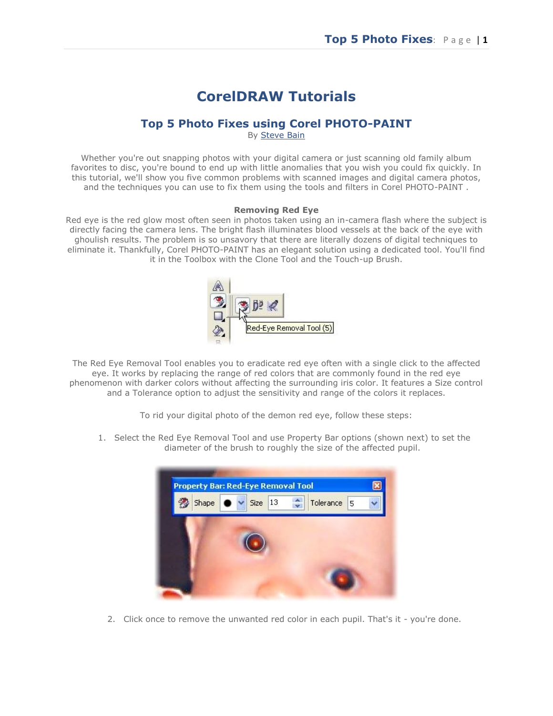# **CorelDRAW Tutorials**

# **Top 5 Photo Fixes using Corel PHOTO-PAINT**

By [Steve Bain](mailto:corel.designer@telus.net)

Whether you're out snapping photos with your digital camera or just scanning old family album favorites to disc, you're bound to end up with little anomalies that you wish you could fix quickly. In this tutorial, we'll show you five common problems with scanned images and digital camera photos, and the techniques you can use to fix them using the tools and filters in Corel PHOTO-PAINT .

#### **Removing Red Eye**

Red eye is the red glow most often seen in photos taken using an in-camera flash where the subject is directly facing the camera lens. The bright flash illuminates blood vessels at the back of the eye with ghoulish results. The problem is so unsavory that there are literally dozens of digital techniques to eliminate it. Thankfully, Corel PHOTO-PAINT has an elegant solution using a dedicated tool. You'll find it in the Toolbox with the Clone Tool and the Touch-up Brush.



The Red Eye Removal Tool enables you to eradicate red eye often with a single click to the affected eye. It works by replacing the range of red colors that are commonly found in the red eye phenomenon with darker colors without affecting the surrounding iris color. It features a Size control and a Tolerance option to adjust the sensitivity and range of the colors it replaces.

To rid your digital photo of the demon red eye, follow these steps:

1. Select the Red Eye Removal Tool and use Property Bar options (shown next) to set the diameter of the brush to roughly the size of the affected pupil.



2. Click once to remove the unwanted red color in each pupil. That's it - you're done.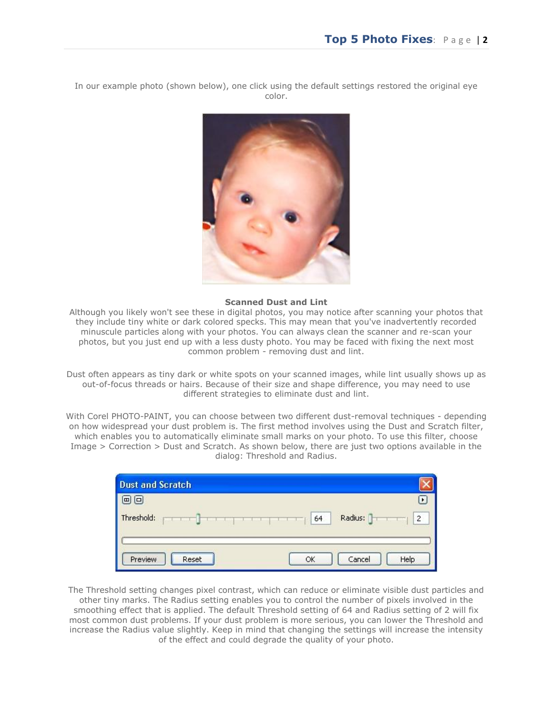In our example photo (shown below), one click using the default settings restored the original eye color.



#### **Scanned Dust and Lint**

Although you likely won't see these in digital photos, you may notice after scanning your photos that they include tiny white or dark colored specks. This may mean that you've inadvertently recorded minuscule particles along with your photos. You can always clean the scanner and re-scan your photos, but you just end up with a less dusty photo. You may be faced with fixing the next most common problem - removing dust and lint.

Dust often appears as tiny dark or white spots on your scanned images, while lint usually shows up as out-of-focus threads or hairs. Because of their size and shape difference, you may need to use different strategies to eliminate dust and lint.

With Corel PHOTO-PAINT, you can choose between two different dust-removal techniques - depending on how widespread your dust problem is. The first method involves using the Dust and Scratch filter, which enables you to automatically eliminate small marks on your photo. To use this filter, choose Image > Correction > Dust and Scratch. As shown below, there are just two options available in the dialog: Threshold and Radius.

| <b>Dust and Scratch</b>     |                                 |
|-----------------------------|---------------------------------|
| ∣□                          |                                 |
| Threshold:<br>$\frac{1}{2}$ | Radius:<br>$\overline{c}$<br>64 |
| Preview<br>Reset            | Cancel<br>Help<br>ОК            |

The Threshold setting changes pixel contrast, which can reduce or eliminate visible dust particles and other tiny marks. The Radius setting enables you to control the number of pixels involved in the smoothing effect that is applied. The default Threshold setting of 64 and Radius setting of 2 will fix most common dust problems. If your dust problem is more serious, you can lower the Threshold and increase the Radius value slightly. Keep in mind that changing the settings will increase the intensity of the effect and could degrade the quality of your photo.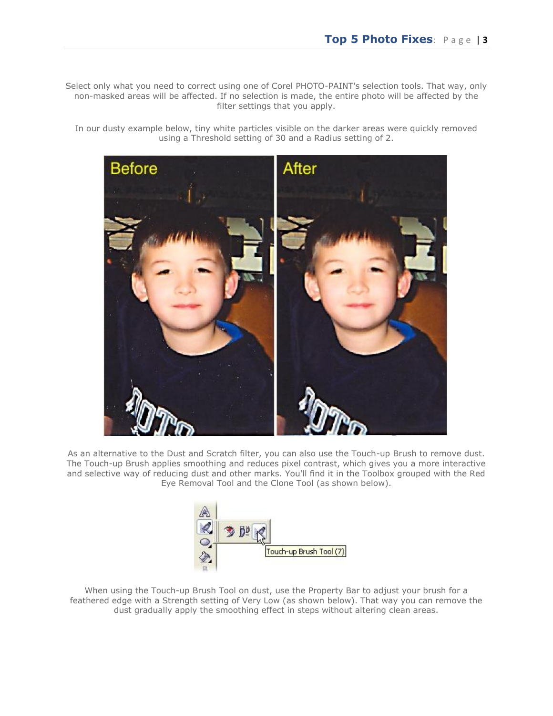Select only what you need to correct using one of Corel PHOTO-PAINT's selection tools. That way, only non-masked areas will be affected. If no selection is made, the entire photo will be affected by the filter settings that you apply.

In our dusty example below, tiny white particles visible on the darker areas were quickly removed using a Threshold setting of 30 and a Radius setting of 2.



As an alternative to the Dust and Scratch filter, you can also use the Touch-up Brush to remove dust. The Touch-up Brush applies smoothing and reduces pixel contrast, which gives you a more interactive and selective way of reducing dust and other marks. You'll find it in the Toolbox grouped with the Red Eye Removal Tool and the Clone Tool (as shown below).



When using the Touch-up Brush Tool on dust, use the Property Bar to adjust your brush for a feathered edge with a Strength setting of Very Low (as shown below). That way you can remove the dust gradually apply the smoothing effect in steps without altering clean areas.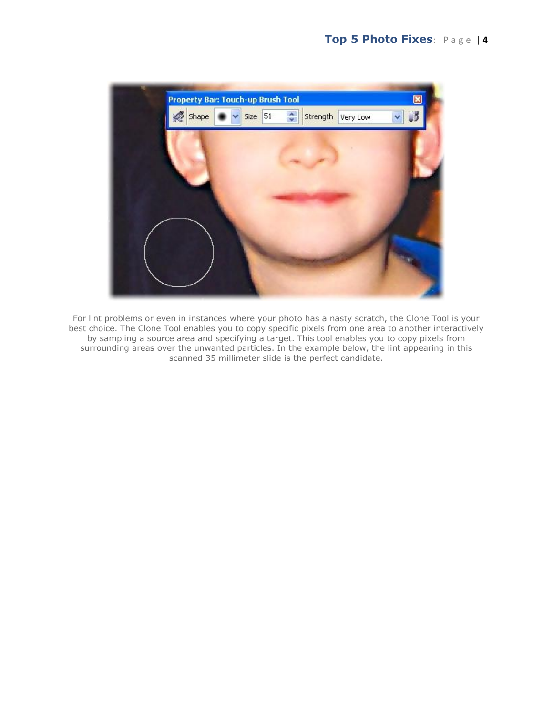

For lint problems or even in instances where your photo has a nasty scratch, the Clone Tool is your best choice. The Clone Tool enables you to copy specific pixels from one area to another interactively by sampling a source area and specifying a target. This tool enables you to copy pixels from surrounding areas over the unwanted particles. In the example below, the lint appearing in this scanned 35 millimeter slide is the perfect candidate.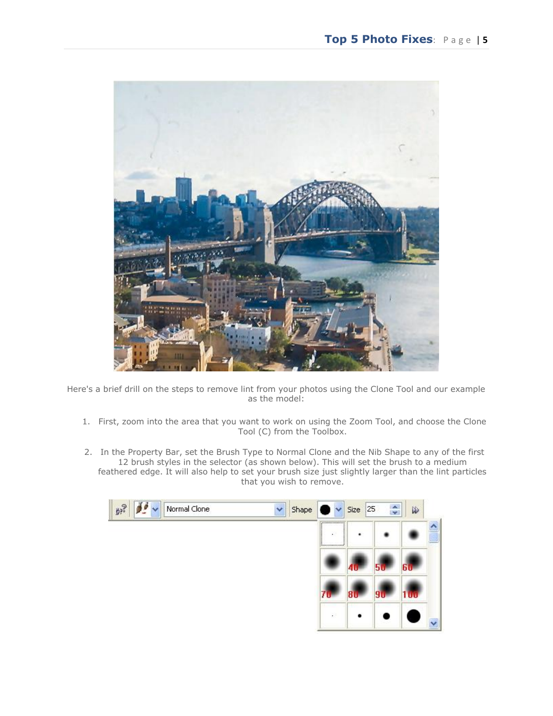

Here's a brief drill on the steps to remove lint from your photos using the Clone Tool and our example as the model:

- 1. First, zoom into the area that you want to work on using the Zoom Tool, and choose the Clone Tool (C) from the Toolbox.
- 2. In the Property Bar, set the Brush Type to Normal Clone and the Nib Shape to any of the first 12 brush styles in the selector (as shown below). This will set the brush to a medium feathered edge. It will also help to set your brush size just slightly larger than the lint particles that you wish to remove.

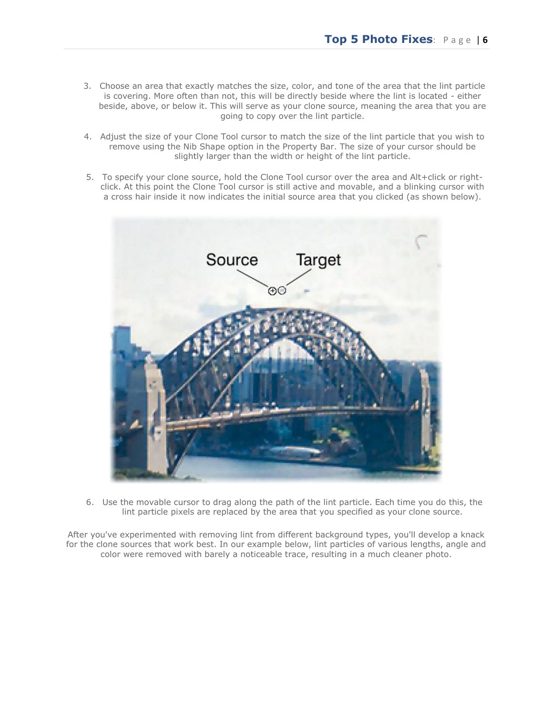- 3. Choose an area that exactly matches the size, color, and tone of the area that the lint particle is covering. More often than not, this will be directly beside where the lint is located - either beside, above, or below it. This will serve as your clone source, meaning the area that you are going to copy over the lint particle.
- 4. Adjust the size of your Clone Tool cursor to match the size of the lint particle that you wish to remove using the Nib Shape option in the Property Bar. The size of your cursor should be slightly larger than the width or height of the lint particle.
- 5. To specify your clone source, hold the Clone Tool cursor over the area and Alt+click or rightclick. At this point the Clone Tool cursor is still active and movable, and a blinking cursor with a cross hair inside it now indicates the initial source area that you clicked (as shown below).



6. Use the movable cursor to drag along the path of the lint particle. Each time you do this, the lint particle pixels are replaced by the area that you specified as your clone source.

After you've experimented with removing lint from different background types, you'll develop a knack for the clone sources that work best. In our example below, lint particles of various lengths, angle and color were removed with barely a noticeable trace, resulting in a much cleaner photo.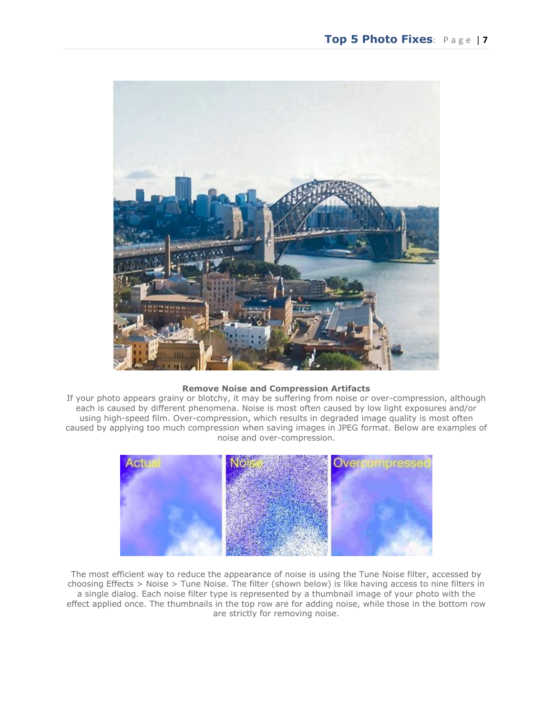

### **Remove Noise and Compression Artifacts**

If your photo appears grainy or blotchy, it may be suffering from noise or over-compression, although each is caused by different phenomena. Noise is most often caused by low light exposures and/or using high-speed film. Over-compression, which results in degraded image quality is most often caused by applying too much compression when saving images in JPEG format. Below are examples of noise and over-compression.



The most efficient way to reduce the appearance of noise is using the Tune Noise filter, accessed by choosing Effects > Noise > Tune Noise. The filter (shown below) is like having access to nine filters in a single dialog. Each noise filter type is represented by a thumbnail image of your photo with the effect applied once. The thumbnails in the top row are for adding noise, while those in the bottom row are strictly for removing noise.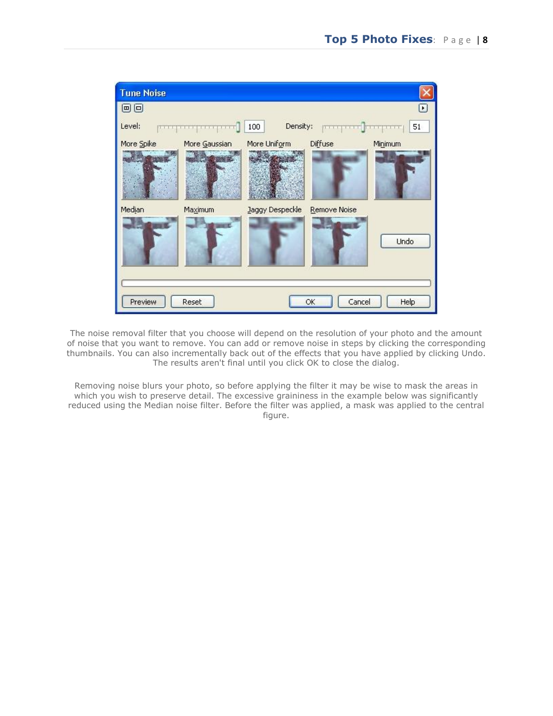

The noise removal filter that you choose will depend on the resolution of your photo and the amount of noise that you want to remove. You can add or remove noise in steps by clicking the corresponding thumbnails. You can also incrementally back out of the effects that you have applied by clicking Undo. The results aren't final until you click OK to close the dialog.

Removing noise blurs your photo, so before applying the filter it may be wise to mask the areas in which you wish to preserve detail. The excessive graininess in the example below was significantly reduced using the Median noise filter. Before the filter was applied, a mask was applied to the central figure.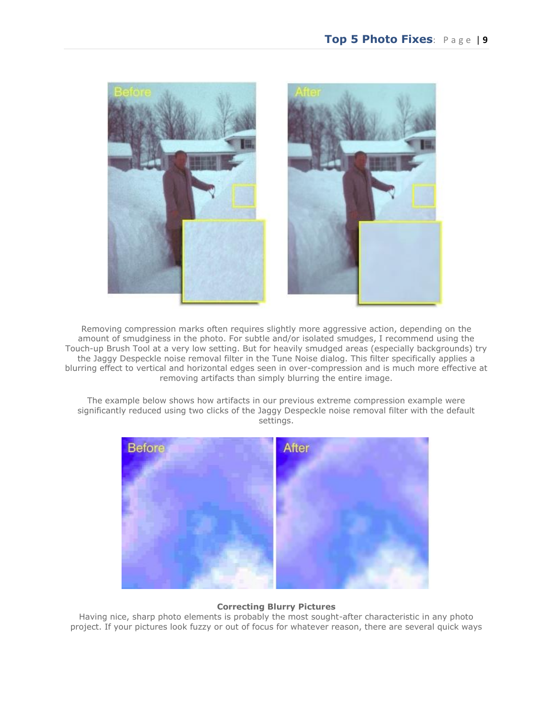

Removing compression marks often requires slightly more aggressive action, depending on the amount of smudginess in the photo. For subtle and/or isolated smudges, I recommend using the Touch-up Brush Tool at a very low setting. But for heavily smudged areas (especially backgrounds) try the Jaggy Despeckle noise removal filter in the Tune Noise dialog. This filter specifically applies a blurring effect to vertical and horizontal edges seen in over-compression and is much more effective at removing artifacts than simply blurring the entire image.

The example below shows how artifacts in our previous extreme compression example were significantly reduced using two clicks of the Jaggy Despeckle noise removal filter with the default settings.



## **Correcting Blurry Pictures**

Having nice, sharp photo elements is probably the most sought-after characteristic in any photo project. If your pictures look fuzzy or out of focus for whatever reason, there are several quick ways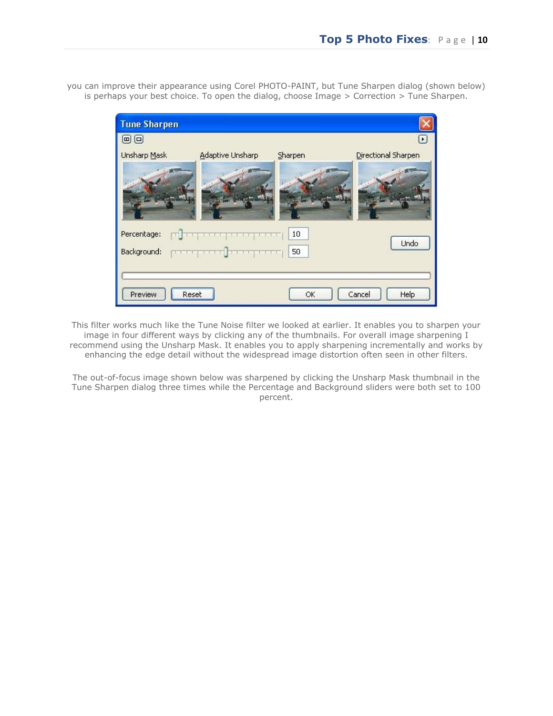you can improve their appearance using Corel PHOTO-PAINT, but Tune Sharpen dialog (shown below) is perhaps your best choice. To open the dialog, choose Image > Correction > Tune Sharpen.



This filter works much like the Tune Noise filter we looked at earlier. It enables you to sharpen your image in four different ways by clicking any of the thumbnails. For overall image sharpening I recommend using the Unsharp Mask. It enables you to apply sharpening incrementally and works by enhancing the edge detail without the widespread image distortion often seen in other filters.

The out-of-focus image shown below was sharpened by clicking the Unsharp Mask thumbnail in the Tune Sharpen dialog three times while the Percentage and Background sliders were both set to 100 percent.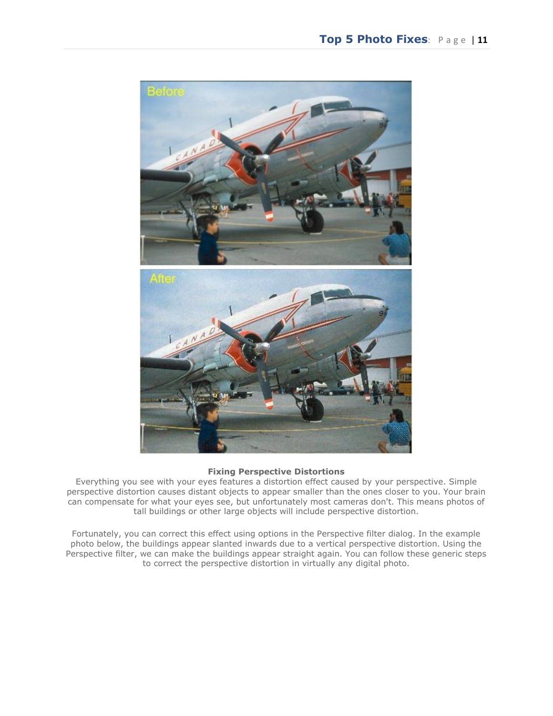

#### **Fixing Perspective Distortions**

Everything you see with your eyes features a distortion effect caused by your perspective. Simple perspective distortion causes distant objects to appear smaller than the ones closer to you. Your brain can compensate for what your eyes see, but unfortunately most cameras don't. This means photos of tall buildings or other large objects will include perspective distortion.

Fortunately, you can correct this effect using options in the Perspective filter dialog. In the example photo below, the buildings appear slanted inwards due to a vertical perspective distortion. Using the Perspective filter, we can make the buildings appear straight again. You can follow these generic steps to correct the perspective distortion in virtually any digital photo.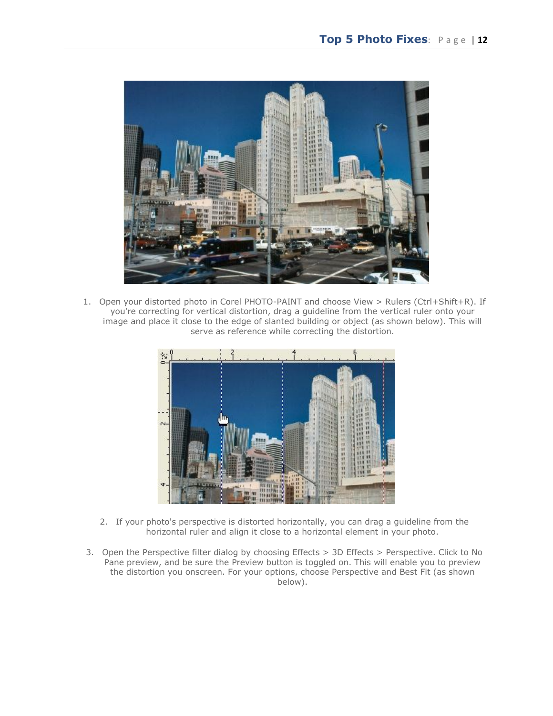

1. Open your distorted photo in Corel PHOTO-PAINT and choose View > Rulers (Ctrl+Shift+R). If you're correcting for vertical distortion, drag a guideline from the vertical ruler onto your image and place it close to the edge of slanted building or object (as shown below). This will serve as reference while correcting the distortion.



- 2. If your photo's perspective is distorted horizontally, you can drag a guideline from the horizontal ruler and align it close to a horizontal element in your photo.
- 3. Open the Perspective filter dialog by choosing Effects > 3D Effects > Perspective. Click to No Pane preview, and be sure the Preview button is toggled on. This will enable you to preview the distortion you onscreen. For your options, choose Perspective and Best Fit (as shown below).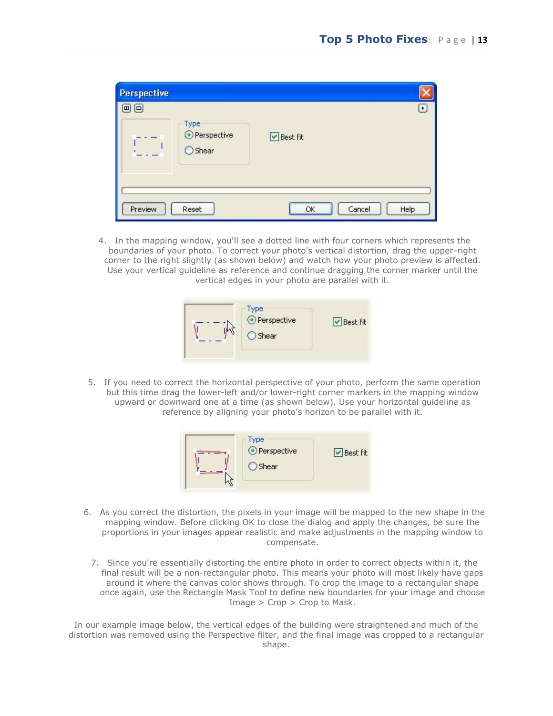| <b>Perspective</b> |                                  |                      |
|--------------------|----------------------------------|----------------------|
| 回回                 |                                  | ٠                    |
|                    | Type<br>⊙ Perspective<br>○ Shear | ■ Best fit           |
| Preview            | Reset                            | Cancel<br>Help<br>OK |

4. In the mapping window, you'll see a dotted line with four corners which represents the boundaries of your photo. To correct your photo's vertical distortion, drag the upper-right corner to the right slightly (as shown below) and watch how your photo preview is affected. Use your vertical guideline as reference and continue dragging the corner marker until the vertical edges in your photo are parallel with it.



5. If you need to correct the horizontal perspective of your photo, perform the same operation but this time drag the lower-left and/or lower-right corner markers in the mapping window upward or downward one at a time (as shown below). Use your horizontal guideline as reference by aligning your photo's horizon to be parallel with it.



- 6. As you correct the distortion, the pixels in your image will be mapped to the new shape in the mapping window. Before clicking OK to close the dialog and apply the changes, be sure the proportions in your images appear realistic and make adjustments in the mapping window to compensate.
	- 7. Since you're essentially distorting the entire photo in order to correct objects within it, the final result will be a non-rectangular photo. This means your photo will most likely have gaps around it where the canvas color shows through. To crop the image to a rectangular shape once again, use the Rectangle Mask Tool to define new boundaries for your image and choose Image > Crop > Crop to Mask.

In our example image below, the vertical edges of the building were straightened and much of the distortion was removed using the Perspective filter, and the final image was cropped to a rectangular shape.